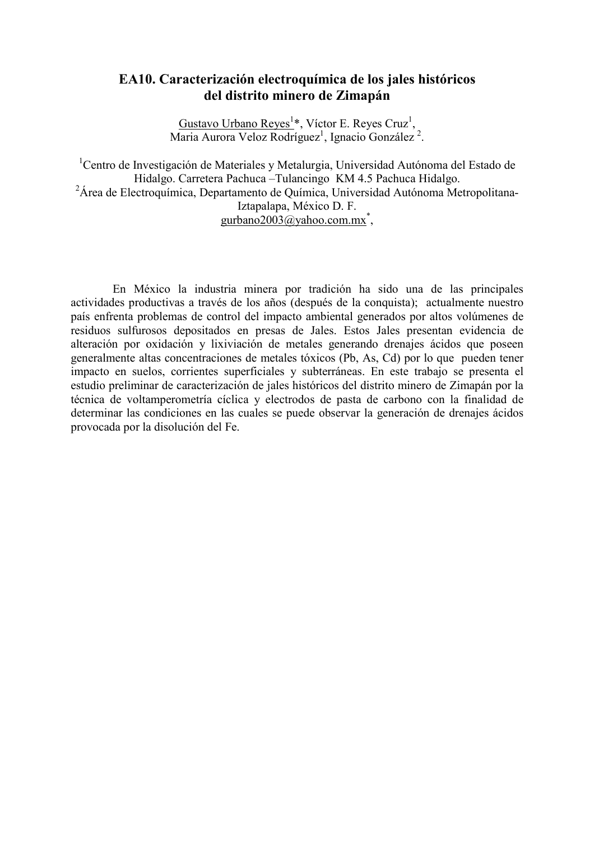# EA10. Caracterización electroquímica de los jales históricos del distrito minero de Zimanán

Gustavo Urbano Reyes<sup>1</sup>\*, Víctor E. Reyes Cruz<sup>1</sup>, Maria Aurora Veloz Rodríguez<sup>1</sup>, Ignacio González<sup>2</sup>.

<sup>1</sup>Centro de Investigación de Materiales y Metalurgia, Universidad Autónoma del Estado de Hidalgo. Carretera Pachuca - Tulancingo KM 4.5 Pachuca Hidalgo. <sup>2</sup>Área de Electroquímica, Departamento de Química, Universidad Autónoma Metropolitana-Iztapalapa, México D. F. gurbano2003@yahoo.com.mx<sup>\*</sup>,

En México la industria minera por tradición ha sido una de las principales actividades productivas a través de los años (después de la conquista); actualmente nuestro país enfrenta problemas de control del impacto ambiental generados por altos volúmenes de residuos sulfurosos depositados en presas de Jales. Estos Jales presentan evidencia de alteración por oxidación y lixiviación de metales generando drenajes ácidos que poseen generalmente altas concentraciones de metales tóxicos (Pb, As, Cd) por lo que pueden tener impacto en suelos, corrientes superficiales y subterráneas. En este trabajo se presenta el estudio preliminar de caracterización de jales históricos del distrito minero de Zimapán por la técnica de voltamperometría cíclica y electrodos de pasta de carbono con la finalidad de determinar las condiciones en las cuales se puede observar la generación de drenajes ácidos provocada por la disolución del Fe.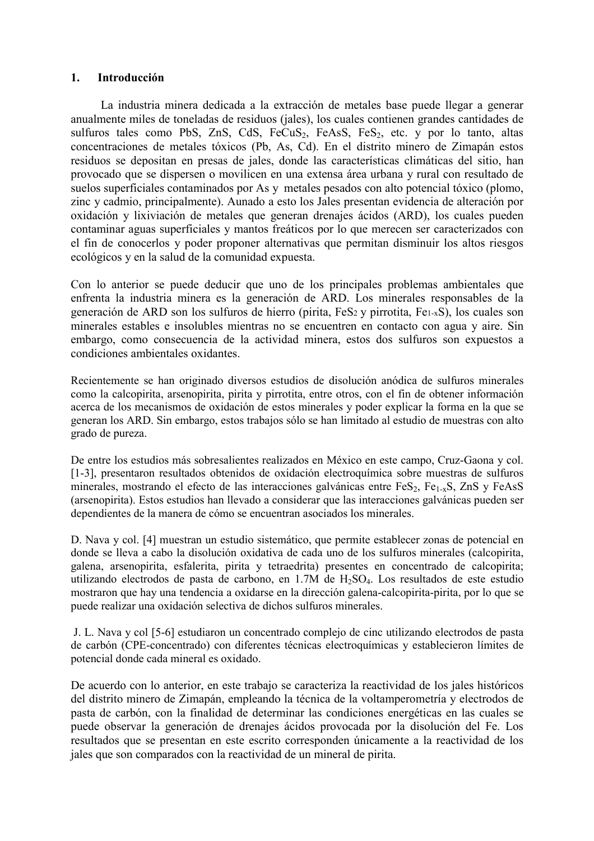#### $1<sup>1</sup>$ **Introducción**

La industria minera dedicada a la extracción de metales base puede llegar a generar anualmente miles de toneladas de residuos (jales), los cuales contienen grandes cantidades de sulfuros tales como PbS, ZnS, CdS, FeCuS<sub>2</sub>, FeAsS, FeS<sub>2</sub>, etc. y por lo tanto, altas concentraciones de metales tóxicos (Pb, As, Cd). En el distrito minero de Zimapán estos residuos se depositan en presas de jales, donde las características climáticas del sitio, han provocado que se dispersen o movilicen en una extensa área urbana y rural con resultado de suelos superficiales contaminados por As y metales pesados con alto potencial tóxico (plomo, zinc y cadmio, principalmente). Aunado a esto los Jales presentan evidencia de alteración por oxidación y lixiviación de metales que generan drenajes ácidos (ARD), los cuales pueden contaminar aguas superficiales y mantos freáticos por lo que merecen ser caracterizados con el fin de conocerlos y poder proponer alternativas que permitan disminuir los altos riesgos ecológicos y en la salud de la comunidad expuesta.

Con lo anterior se puede deducir que uno de los principales problemas ambientales que enfrenta la industria minera es la generación de ARD. Los minerales responsables de la generación de ARD son los sulfuros de hierro (pirita, FeS<sub>2</sub> y pirrotita, Fe<sub>1-x</sub>S), los cuales son minerales estables e insolubles mientras no se encuentren en contacto con agua y aire. Sin embargo, como consecuencia de la actividad minera, estos dos sulfuros son expuestos a condiciones ambientales oxidantes.

Recientemente se han originado diversos estudios de disolución anódica de sulfuros minerales como la calcopirita, arsenopirita, pirita y pirrotita, entre otros, con el fin de obtener información acerca de los mecanismos de oxidación de estos minerales y poder explicar la forma en la que se generan los ARD. Sin embargo, estos trabajos sólo se han limitado al estudio de muestras con alto grado de pureza.

De entre los estudios más sobresalientes realizados en México en este campo, Cruz-Gaona y col. [1-3], presentaron resultados obtenidos de oxidación electroquímica sobre muestras de sulfuros minerales, mostrando el efecto de las interacciones galvánicas entre FeS<sub>2</sub>, Fe<sub>1-x</sub>S, ZnS y FeAsS (arsenopirita). Estos estudios han llevado a considerar que las interacciones galvánicas pueden ser dependientes de la manera de cómo se encuentran asociados los minerales.

D. Nava y col. [4] muestran un estudio sistemático, que permite establecer zonas de potencial en donde se lleva a cabo la disolución oxidativa de cada uno de los sulfuros minerales (calcopirita, galena, arsenopirita, esfalerita, pirita y tetraedrita) presentes en concentrado de calcopirita; utilizando electrodos de pasta de carbono, en 1.7M de  $H_2SO_4$ . Los resultados de este estudio mostraron que hay una tendencia a oxidarse en la dirección galena-calcopirita-pirita, por lo que se puede realizar una oxidación selectiva de dichos sulfuros minerales.

J. L. Nava y col [5-6] estudiaron un concentrado complejo de cinc utilizando electrodos de pasta de carbón (CPE-concentrado) con diferentes técnicas electroquímicas y establecieron límites de potencial donde cada mineral es oxidado.

De acuerdo con lo anterior, en este trabajo se caracteriza la reactividad de los jales históricos del distrito minero de Zimapán, empleando la técnica de la voltamperometría y electrodos de pasta de carbón, con la finalidad de determinar las condiciones energéticas en las cuales se puede observar la generación de drenajes ácidos provocada por la disolución del Fe. Los resultados que se presentan en este escrito corresponden únicamente a la reactividad de los jales que son comparados con la reactividad de un mineral de pirita.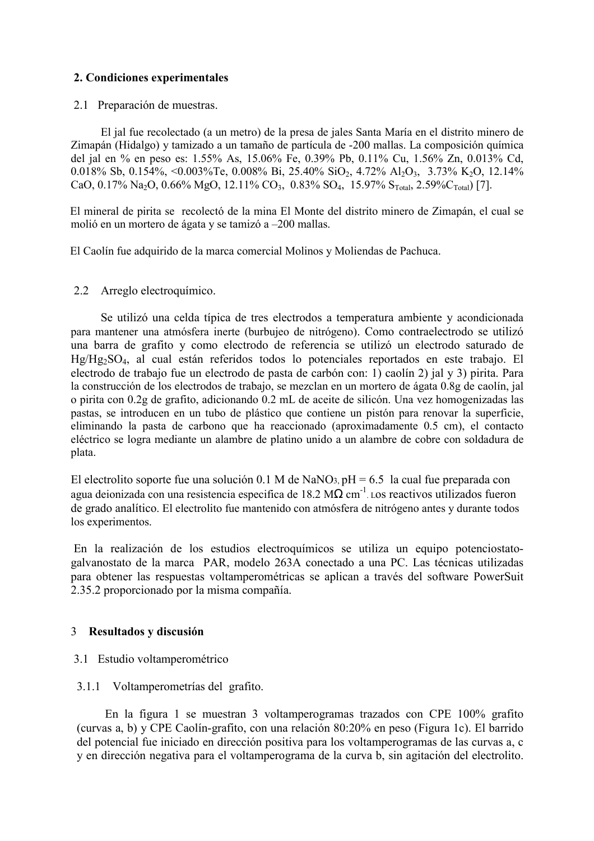# 2. Condiciones experimentales

2.1 Preparación de muestras.

El jal fue recolectado (a un metro) de la presa de jales Santa María en el distrito minero de Zimapán (Hidalgo) y tamizado a un tamaño de partícula de -200 mallas. La composición química del jal en % en peso es: 1.55% As, 15.06% Fe, 0.39% Pb, 0.11% Cu, 1.56% Zn, 0.013% Cd, 0.018% Sb, 0.154%, <0.003%Te, 0.008% Bi, 25.40% SiO<sub>2</sub>, 4.72% Al<sub>2</sub>O<sub>3</sub>, 3.73% K<sub>2</sub>O, 12.14% CaO, 0.17% Na<sub>2</sub>O, 0.66% MgO, 12.11% CO<sub>3</sub>, 0.83% SO<sub>4</sub>, 15.97% S<sub>Total</sub>, 2.59% C<sub>Total</sub>) [7].

El mineral de pirita se recolectó de la mina El Monte del distrito minero de Zimapán, el cual se molió en un mortero de ágata y se tamizó a -200 mallas.

El Caolín fue adquirido de la marca comercial Molinos y Moliendas de Pachuca.

## 2.2 Arreglo electroquímico.

Se utilizó una celda típica de tres electrodos a temperatura ambiente y acondicionada para mantener una atmósfera inerte (burbujeo de nitrógeno). Como contraelectrodo se utilizó una barra de grafito y como electrodo de referencia se utilizó un electrodo saturado de Hg/Hg<sub>2</sub>SO<sub>4</sub>, al cual están referidos todos lo potenciales reportados en este trabajo. El electrodo de trabajo fue un electrodo de pasta de carbón con: 1) caolín 2) jal y 3) pirita. Para la construcción de los electrodos de trabajo, se mezclan en un mortero de ágata 0.8g de caolín, jal o pirita con 0.2g de grafito, adicionando 0.2 mL de aceite de silicón. Una vez homogenizadas las pastas, se introducen en un tubo de plástico que contiene un pistón para renovar la superficie, eliminando la pasta de carbono que ha reaccionado (aproximadamente 0.5 cm), el contacto eléctrico se logra mediante un alambre de platino unido a un alambre de cobre con soldadura de plata.

El electrolito soporte fue una solución 0.1 M de NaNO<sub>3</sub>, pH = 6.5 la cual fue preparada con agua deionizada con una resistencia especifica de 18.2 M $\Omega$  cm<sup>-1</sup> Los reactivos utilizados fueron de grado analítico. El electrolito fue mantenido con atmósfera de nitrógeno antes y durante todos los experimentos.

En la realización de los estudios electroquímicos se utiliza un equipo potenciostatogalvanostato de la marca PAR, modelo 263A conectado a una PC. Las técnicas utilizadas para obtener las respuestas voltamperométricas se aplican a través del software PowerSuit 2.35.2 proporcionado por la misma compañía.

## 3 Resultados y discusión

## 3.1 Estudio voltamperométrico

## 3.1.1 Voltamperometrías del grafito.

En la figura 1 se muestran 3 voltamperogramas trazados con CPE 100% grafito (curvas a, b) y CPE Caolín-grafito, con una relación 80:20% en peso (Figura 1c). El barrido del potencial fue iniciado en dirección positiva para los voltamperogramas de las curvas a, c y en dirección negativa para el voltamperograma de la curva b, sin agitación del electrolito.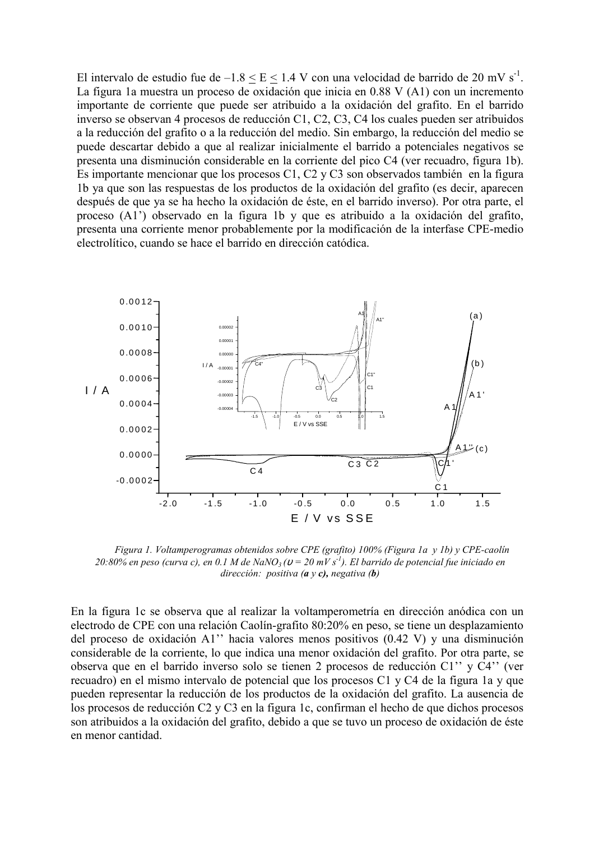El intervalo de estudio fue de  $-1.8 \le E \le 1.4$  V con una velocidad de barrido de 20 mV s<sup>-1</sup>. La figura 1a muestra un proceso de oxidación que inicia en 0.88 V (A1) con un incremento importante de corriente que puede ser atribuido a la oxidación del grafito. En el barrido inverso se observan 4 procesos de reducción C1, C2, C3, C4 los cuales pueden ser atribuidos a la reducción del grafito o a la reducción del medio. Sin embargo, la reducción del medio se puede descartar debido a que al realizar inicialmente el barrido a potenciales negativos se presenta una disminución considerable en la corriente del pico C4 (ver recuadro, figura 1b). Es importante mencionar que los procesos C1, C2 y C3 son observados también en la figura 1b ya que son las respuestas de los productos de la oxidación del grafito (es decir, aparecen después de que ya se ha hecho la oxidación de éste, en el barrido inverso). Por otra parte, el proceso (A1') observado en la figura 1b y que es atribuido a la oxidación del grafito, presenta una corriente menor probablemente por la modificación de la interfase CPE-medio electrolítico, cuando se hace el barrido en dirección catódica.



Figura 1. Voltamperogramas obtenidos sobre CPE (grafito) 100% (Figura 1a y 1b) y CPE-caolín 20:80% en peso (curva c), en 0.1 M de NaNO<sub>3</sub> ( $v = 20$  mV s<sup>-1</sup>). El barrido de potencial fue iniciado en dirección: positiva ( $a$  y  $c$ ), negativa ( $b$ )

En la figura 1c se observa que al realizar la voltamperometría en dirección anódica con un electrodo de CPE con una relación Caolín-grafito 80:20% en peso, se tiene un desplazamiento del proceso de oxidación A1" hacia valores menos positivos (0.42 V) y una disminución considerable de la corriente, lo que indica una menor oxidación del grafito. Por otra parte, se observa que en el barrido inverso solo se tienen 2 procesos de reducción C1" y C4" (ver recuadro) en el mismo intervalo de potencial que los procesos C1 y C4 de la figura 1a y que pueden representar la reducción de los productos de la oxidación del grafito. La ausencia de los procesos de reducción C2 y C3 en la figura 1c, confirman el hecho de que dichos procesos son atribuidos a la oxidación del grafito, debido a que se tuvo un proceso de oxidación de éste en menor cantidad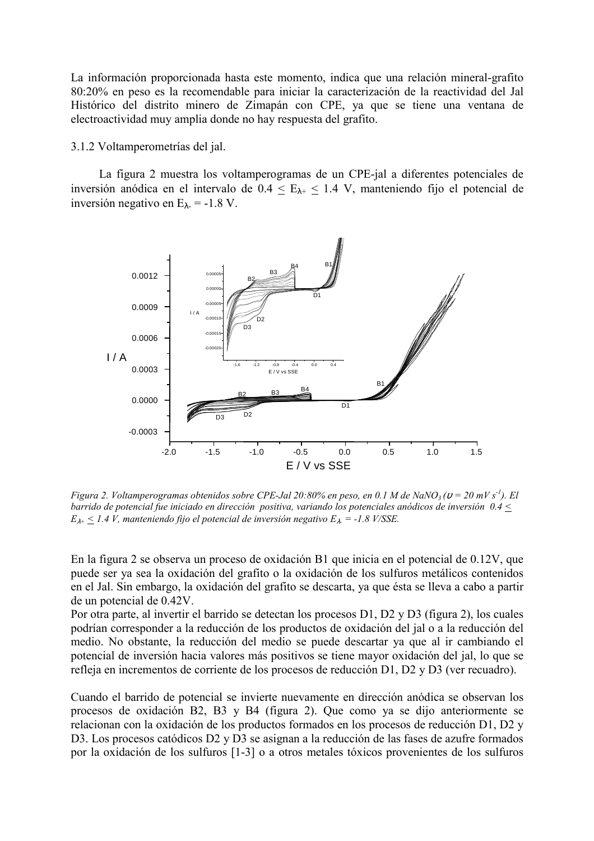La información proporcionada hasta este momento, indica que una relación mineral-grafito 80:20% en peso es la recomendable para iniciar la caracterización de la reactividad del Jal Histórico del distrito minero de Zimapán con CPE, ya que se tiene una ventana de electroactividad muy amplia donde no hay respuesta del grafito.

3.1.2 Voltamperometrías del jal.

La figura 2 muestra los voltamperogramas de un CPE-jal a diferentes potenciales de inversión anódica en el intervalo de  $0.4 \le E_{\lambda+} \le 1.4$  V, manteniendo fijo el potencial de inversión negativo en  $E_{\lambda}$  = -1.8 V.



Figura 2. Voltamperogramas obtenidos sobre CPE-Jal 20:80% en peso, en 0.1 M de NaNO<sub>3</sub> ( $v = 20$  mV s<sup>-1</sup>). El barrido de potencial fue iniciado en dirección positiva, variando los potenciales anódicos de inversión  $0.4 \le$  $E_{\lambda^+} \leq 1.4$  V, manteniendo fijo el potencial de inversión negativo  $E_{\lambda} = -1.8$  V/SSE.

En la figura 2 se observa un proceso de oxidación B1 que inicia en el potencial de 0.12V, que puede ser ya sea la oxidación del grafito o la oxidación de los sulfuros metálicos contenidos en el Jal. Sin embargo, la oxidación del grafito se descarta, ya que ésta se lleva a cabo a partir de un potencial de 0.42V.

Por otra parte, al invertir el barrido se detectan los procesos D1, D2 y D3 (figura 2), los cuales podrían corresponder a la reducción de los productos de oxidación del jal o a la reducción del medio. No obstante, la reducción del medio se puede descartar va que al ir cambiando el potencial de inversión hacia valores más positivos se tiene mayor oxidación del jal, lo que se refleja en incrementos de corriente de los procesos de reducción D1, D2 y D3 (ver recuadro).

Cuando el barrido de potencial se invierte nuevamente en dirección anódica se observan los procesos de oxidación B2, B3 y B4 (figura 2). Que como ya se dijo anteriormente se relacionan con la oxidación de los productos formados en los procesos de reducción D1, D2 y D3. Los procesos catódicos D2 y D3 se asignan a la reducción de las fases de azufre formados por la oxidación de los sulfuros [1-3] o a otros metales tóxicos provenientes de los sulfuros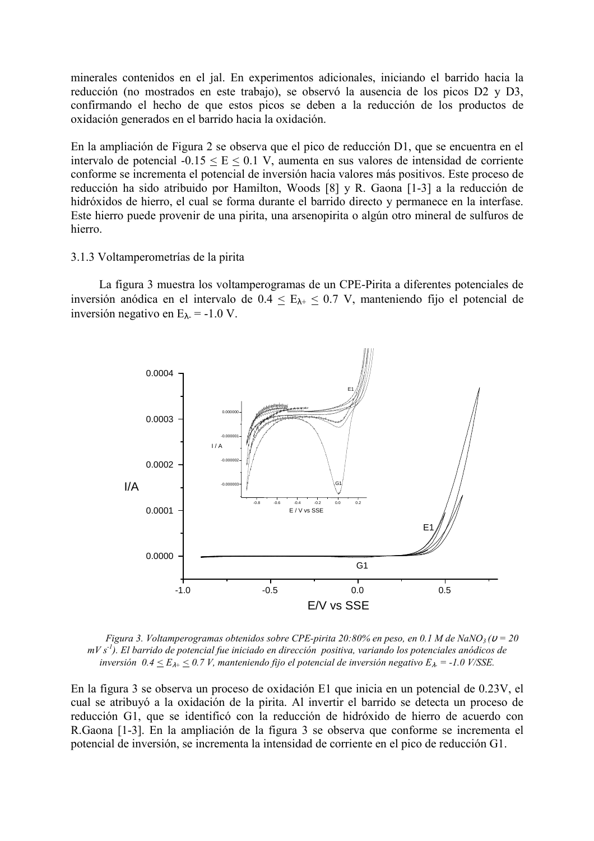minerales contenidos en el jal. En experimentos adicionales, iniciando el barrido hacia la reducción (no mostrados en este trabajo), se observó la ausencia de los picos D2 y D3, confirmando el hecho de que estos picos se deben a la reducción de los productos de oxidación generados en el barrido hacia la oxidación.

En la ampliación de Figura 2 se observa que el pico de reducción D1, que se encuentra en el intervalo de potencial  $-0.15 \le E \le 0.1$  V, aumenta en sus valores de intensidad de corriente conforme se incrementa el potencial de inversión hacia valores más positivos. Este proceso de reducción ha sido atribuido por Hamilton, Woods [8] y R. Gaona [1-3] a la reducción de hidróxidos de hierro, el cual se forma durante el barrido directo y permanece en la interfase. Este hierro puede provenir de una pirita, una arsenopirita o algún otro mineral de sulfuros de hierro.

#### 3.1.3 Voltamperometrías de la pirita

La figura 3 muestra los voltamperogramas de un CPE-Pirita a diferentes potenciales de inversión anódica en el intervalo de  $0.4 \le E_{\lambda+} \le 0.7$  V, manteniendo fijo el potencial de inversión negativo en  $E_{\lambda}$  = -1.0 V.



Figura 3. Voltamperogramas obtenidos sobre CPE-pirita 20:80% en peso, en 0.1 M de NaNO<sub>3</sub> ( $v = 20$ )  $mV s<sup>-1</sup>$ ). El barrido de potencial fue iniciado en dirección positiva, variando los potenciales anódicos de inversión  $0.4 \le E_{\lambda^+} \le 0.7$  V, manteniendo fijo el potencial de inversión negativo  $E_{\lambda} = -1.0$  V/SSE.

En la figura 3 se observa un proceso de oxidación E1 que inicia en un potencial de 0.23V, el cual se atribuyó a la oxidación de la pirita. Al invertir el barrido se detecta un proceso de reducción G1, que se identificó con la reducción de hidróxido de hierro de acuerdo con R. Gaona [1-3]. En la ampliación de la figura 3 se observa que conforme se incrementa el potencial de inversión, se incrementa la intensidad de corriente en el pico de reducción G1.